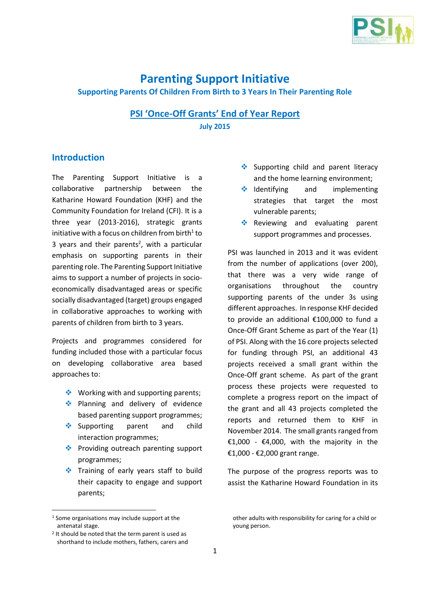

## **Parenting Support Initiative**

#### **Supporting Parents Of Children From Birth to 3 Years In Their Parenting Role**

### **PSI 'Once-Off Grants' End of Year Report July 2015**

#### **Introduction**

The Parenting Support Initiative is a collaborative partnership between the Katharine Howard Foundation (KHF) and the Community Foundation for Ireland (CFI). It is a three year (2013-2016), strategic grants initiative with a focus on children from birth $1$  to 3 years and their parents<sup>2</sup>, with a particular emphasis on supporting parents in their parenting role. The Parenting Support Initiative aims to support a number of projects in socioeconomically disadvantaged areas or specific socially disadvantaged (target) groups engaged in collaborative approaches to working with parents of children from birth to 3 years.

Projects and programmes considered for funding included those with a particular focus on developing collaborative area based approaches to:

- $\triangleq$  Working with and supporting parents;
- ◆ Planning and delivery of evidence based parenting support programmes;
- Supporting parent and child interaction programmes;
- ❖ Providing outreach parenting support programmes;
- Training of early years staff to build their capacity to engage and support parents;

1

- $\triangleq$  Supporting child and parent literacy and the home learning environment;
- $\triangleq$  Identifying and implementing strategies that target the most vulnerable parents;
- Reviewing and evaluating parent support programmes and processes.

PSI was launched in 2013 and it was evident from the number of applications (over 200), that there was a very wide range of organisations throughout the country supporting parents of the under 3s using different approaches. In response KHF decided to provide an additional €100,000 to fund a Once-Off Grant Scheme as part of the Year (1) of PSI. Along with the 16 core projects selected for funding through PSI, an additional 43 projects received a small grant within the Once-Off grant scheme. As part of the grant process these projects were requested to complete a progress report on the impact of the grant and all 43 projects completed the reports and returned them to KHF in November 2014. The small grants ranged from €1,000 - €4,000, with the majority in the €1,000 - €2,000 grant range.

The purpose of the progress reports was to assist the Katharine Howard Foundation in its

<sup>1</sup> Some organisations may include support at the antenatal stage.

<sup>2</sup> It should be noted that the term parent is used as shorthand to include mothers, fathers, carers and

other adults with responsibility for caring for a child or young person.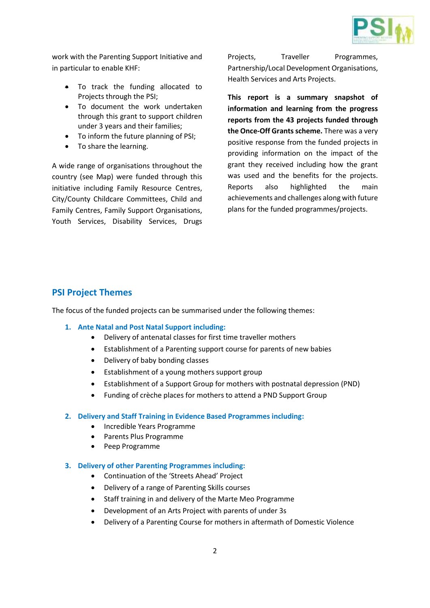

work with the Parenting Support Initiative and in particular to enable KHF:

- To track the funding allocated to Projects through the PSI;
- To document the work undertaken through this grant to support children under 3 years and their families;
- To inform the future planning of PSI;
- To share the learning.

A wide range of organisations throughout the country (see Map) were funded through this initiative including Family Resource Centres, City/County Childcare Committees, Child and Family Centres, Family Support Organisations, Youth Services, Disability Services, Drugs Projects, Traveller Programmes, Partnership/Local Development Organisations, Health Services and Arts Projects.

**This report is a summary snapshot of information and learning from the progress reports from the 43 projects funded through the Once-Off Grants scheme.** There was a very positive response from the funded projects in providing information on the impact of the grant they received including how the grant was used and the benefits for the projects. Reports also highlighted the main achievements and challenges along with future plans for the funded programmes/projects.

### **PSI Project Themes**

The focus of the funded projects can be summarised under the following themes:

- **1. Ante Natal and Post Natal Support including:**
	- Delivery of antenatal classes for first time traveller mothers
	- Establishment of a Parenting support course for parents of new babies
	- Delivery of baby bonding classes
	- Establishment of a young mothers support group
	- Establishment of a Support Group for mothers with postnatal depression (PND)
	- Funding of crèche places for mothers to attend a PND Support Group

#### **2. Delivery and Staff Training in Evidence Based Programmes including:**

- Incredible Years Programme
- Parents Plus Programme
- Peep Programme
- **3. Delivery of other Parenting Programmes including:**
	- Continuation of the 'Streets Ahead' Project
	- Delivery of a range of Parenting Skills courses
	- Staff training in and delivery of the Marte Meo Programme
	- Development of an Arts Project with parents of under 3s
	- Delivery of a Parenting Course for mothers in aftermath of Domestic Violence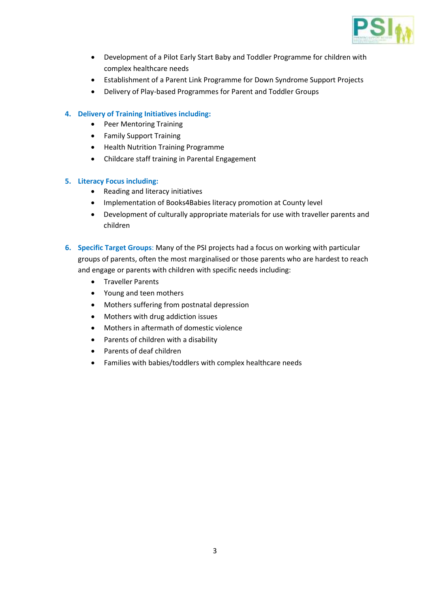

- Development of a Pilot Early Start Baby and Toddler Programme for children with complex healthcare needs
- Establishment of a Parent Link Programme for Down Syndrome Support Projects
- Delivery of Play-based Programmes for Parent and Toddler Groups

#### **4. Delivery of Training Initiatives including:**

- Peer Mentoring Training
- Family Support Training
- Health Nutrition Training Programme
- Childcare staff training in Parental Engagement

#### **5. Literacy Focus including:**

- Reading and literacy initiatives
- Implementation of Books4Babies literacy promotion at County level
- Development of culturally appropriate materials for use with traveller parents and children
- **6. Specific Target Groups**: Many of the PSI projects had a focus on working with particular groups of parents, often the most marginalised or those parents who are hardest to reach and engage or parents with children with specific needs including:
	- **•** Traveller Parents
	- Young and teen mothers
	- Mothers suffering from postnatal depression
	- Mothers with drug addiction issues
	- Mothers in aftermath of domestic violence
	- Parents of children with a disability
	- Parents of deaf children
	- Families with babies/toddlers with complex healthcare needs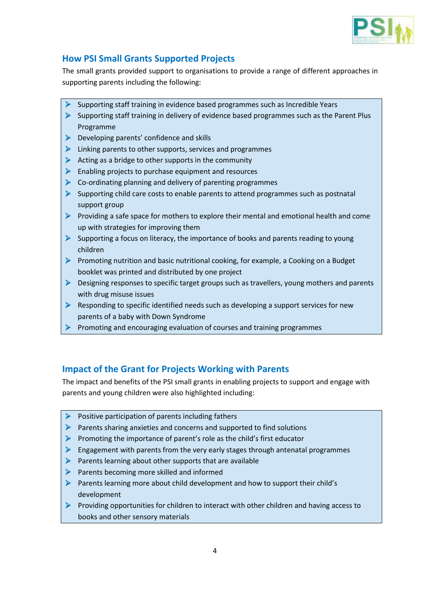

## **How PSI Small Grants Supported Projects**

The small grants provided support to organisations to provide a range of different approaches in supporting parents including the following:

- $\triangleright$  Supporting staff training in evidence based programmes such as Incredible Years
- $\triangleright$  Supporting staff training in delivery of evidence based programmes such as the Parent Plus Programme
- $\triangleright$  Developing parents' confidence and skills
- $\triangleright$  Linking parents to other supports, services and programmes
- $\triangleright$  Acting as a bridge to other supports in the community
- $\triangleright$  Enabling projects to purchase equipment and resources
- $\triangleright$  Co-ordinating planning and delivery of parenting programmes
- $\triangleright$  Supporting child care costs to enable parents to attend programmes such as postnatal support group
- **Providing a safe space for mothers to explore their mental and emotional health and come** up with strategies for improving them
- $\triangleright$  Supporting a focus on literacy, the importance of books and parents reading to young children
- **Promoting nutrition and basic nutritional cooking, for example, a Cooking on a Budget** booklet was printed and distributed by one project
- $\triangleright$  Designing responses to specific target groups such as travellers, young mothers and parents with drug misuse issues
- $\triangleright$  Responding to specific identified needs such as developing a support services for new parents of a baby with Down Syndrome
- $\triangleright$  Promoting and encouraging evaluation of courses and training programmes

### **Impact of the Grant for Projects Working with Parents**

The impact and benefits of the PSI small grants in enabling projects to support and engage with parents and young children were also highlighted including:

- $\triangleright$  Positive participation of parents including fathers
- $\triangleright$  Parents sharing anxieties and concerns and supported to find solutions
- $\triangleright$  Promoting the importance of parent's role as the child's first educator
- $\triangleright$  Engagement with parents from the very early stages through antenatal programmes
- $\triangleright$  Parents learning about other supports that are available
- $\triangleright$  Parents becoming more skilled and informed
- $\triangleright$  Parents learning more about child development and how to support their child's development
- Providing opportunities for children to interact with other children and having access to books and other sensory materials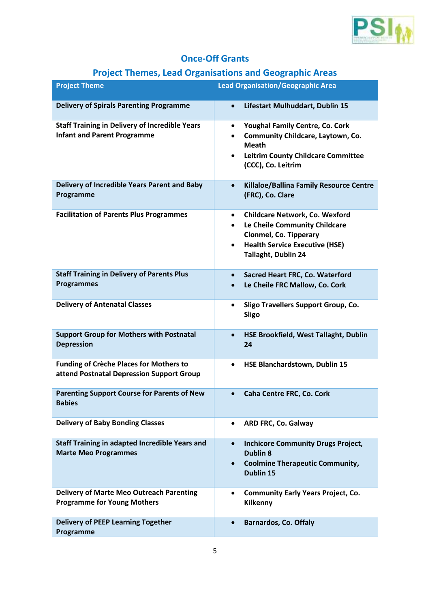

# **Once-Off Grants**

# **Project Themes, Lead Organisations and Geographic Areas**

| <b>Project Theme</b>                                                                        | <b>Lead Organisation/Geographic Area</b>                                                                                                                                                                       |  |  |
|---------------------------------------------------------------------------------------------|----------------------------------------------------------------------------------------------------------------------------------------------------------------------------------------------------------------|--|--|
| <b>Delivery of Spirals Parenting Programme</b>                                              | Lifestart Mulhuddart, Dublin 15<br>$\bullet$                                                                                                                                                                   |  |  |
| <b>Staff Training in Delivery of Incredible Years</b><br><b>Infant and Parent Programme</b> | Youghal Family Centre, Co. Cork<br>$\bullet$<br>Community Childcare, Laytown, Co.<br>$\bullet$<br><b>Meath</b><br><b>Leitrim County Childcare Committee</b><br>$\bullet$<br>(CCC), Co. Leitrim                 |  |  |
| Delivery of Incredible Years Parent and Baby<br>Programme                                   | Killaloe/Ballina Family Resource Centre<br>$\bullet$<br>(FRC), Co. Clare                                                                                                                                       |  |  |
| <b>Facilitation of Parents Plus Programmes</b>                                              | <b>Childcare Network, Co. Wexford</b><br>$\bullet$<br>Le Cheile Community Childcare<br>$\bullet$<br><b>Clonmel, Co. Tipperary</b><br><b>Health Service Executive (HSE)</b><br>$\bullet$<br>Tallaght, Dublin 24 |  |  |
| <b>Staff Training in Delivery of Parents Plus</b><br><b>Programmes</b>                      | Sacred Heart FRC, Co. Waterford<br>$\bullet$<br>Le Cheile FRC Mallow, Co. Cork<br>$\bullet$                                                                                                                    |  |  |
| <b>Delivery of Antenatal Classes</b>                                                        | Sligo Travellers Support Group, Co.<br>$\bullet$<br><b>Sligo</b>                                                                                                                                               |  |  |
| <b>Support Group for Mothers with Postnatal</b><br><b>Depression</b>                        | HSE Brookfield, West Tallaght, Dublin<br>$\bullet$<br>24                                                                                                                                                       |  |  |
| <b>Funding of Crèche Places for Mothers to</b><br>attend Postnatal Depression Support Group | HSE Blanchardstown, Dublin 15<br>$\bullet$                                                                                                                                                                     |  |  |
| <b>Parenting Support Course for Parents of New</b><br><b>Babies</b>                         | Caha Centre FRC, Co. Cork<br>$\bullet$                                                                                                                                                                         |  |  |
| <b>Delivery of Baby Bonding Classes</b>                                                     | ARD FRC, Co. Galway<br>$\bullet$                                                                                                                                                                               |  |  |
| <b>Staff Training in adapted Incredible Years and</b><br><b>Marte Meo Programmes</b>        | <b>Inchicore Community Drugs Project,</b><br>$\bullet$<br><b>Dublin 8</b><br><b>Coolmine Therapeutic Community,</b><br>$\bullet$<br>Dublin 15                                                                  |  |  |
| <b>Delivery of Marte Meo Outreach Parenting</b><br><b>Programme for Young Mothers</b>       | <b>Community Early Years Project, Co.</b><br>$\bullet$<br>Kilkenny                                                                                                                                             |  |  |
| <b>Delivery of PEEP Learning Together</b><br>Programme                                      | <b>Barnardos, Co. Offaly</b><br>$\bullet$                                                                                                                                                                      |  |  |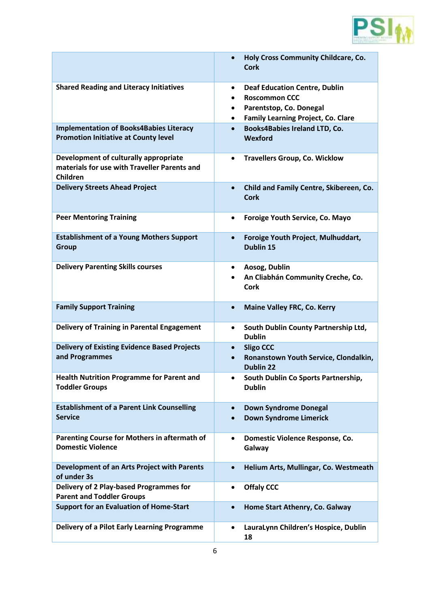

|                                                                                                   | Holy Cross Community Childcare, Co.<br>$\bullet$<br><b>Cork</b>                                                                                                                  |
|---------------------------------------------------------------------------------------------------|----------------------------------------------------------------------------------------------------------------------------------------------------------------------------------|
| <b>Shared Reading and Literacy Initiatives</b>                                                    | <b>Deaf Education Centre, Dublin</b><br>$\bullet$<br><b>Roscommon CCC</b><br>$\bullet$<br>Parentstop, Co. Donegal<br>$\bullet$<br><b>Family Learning Project, Co. Clare</b><br>٠ |
| <b>Implementation of Books4Babies Literacy</b><br><b>Promotion Initiative at County level</b>     | <b>Books4Babies Ireland LTD, Co.</b><br>$\bullet$<br>Wexford                                                                                                                     |
| Development of culturally appropriate<br>materials for use with Traveller Parents and<br>Children | <b>Travellers Group, Co. Wicklow</b><br>$\bullet$                                                                                                                                |
| <b>Delivery Streets Ahead Project</b>                                                             | Child and Family Centre, Skibereen, Co.<br>$\bullet$<br><b>Cork</b>                                                                                                              |
| <b>Peer Mentoring Training</b>                                                                    | Foroige Youth Service, Co. Mayo<br>$\bullet$                                                                                                                                     |
| <b>Establishment of a Young Mothers Support</b><br><b>Group</b>                                   | Foroige Youth Project, Mulhuddart,<br>$\bullet$<br><b>Dublin 15</b>                                                                                                              |
| <b>Delivery Parenting Skills courses</b>                                                          | Aosog, Dublin<br>$\bullet$<br>An Cliabhán Community Creche, Co.<br><b>Cork</b>                                                                                                   |
| <b>Family Support Training</b>                                                                    | <b>Maine Valley FRC, Co. Kerry</b><br>$\bullet$                                                                                                                                  |
| <b>Delivery of Training in Parental Engagement</b>                                                | South Dublin County Partnership Ltd,<br>$\bullet$<br><b>Dublin</b>                                                                                                               |
| <b>Delivery of Existing Evidence Based Projects</b><br>and Programmes                             | <b>Sligo CCC</b><br>$\bullet$<br>Ronanstown Youth Service, Clondalkin,<br>$\bullet$<br><b>Dublin 22</b>                                                                          |
| <b>Health Nutrition Programme for Parent and</b><br><b>Toddler Groups</b>                         | South Dublin Co Sports Partnership,<br>٠<br><b>Dublin</b>                                                                                                                        |
| <b>Establishment of a Parent Link Counselling</b><br><b>Service</b>                               | <b>Down Syndrome Donegal</b><br>$\bullet$<br><b>Down Syndrome Limerick</b><br>$\bullet$                                                                                          |
| Parenting Course for Mothers in aftermath of<br><b>Domestic Violence</b>                          | Domestic Violence Response, Co.<br>$\bullet$<br>Galway                                                                                                                           |
| Development of an Arts Project with Parents<br>of under 3s                                        | Helium Arts, Mullingar, Co. Westmeath<br>$\bullet$                                                                                                                               |
| Delivery of 2 Play-based Programmes for<br><b>Parent and Toddler Groups</b>                       | <b>Offaly CCC</b><br>$\bullet$                                                                                                                                                   |
| <b>Support for an Evaluation of Home-Start</b>                                                    | Home Start Athenry, Co. Galway<br>$\bullet$                                                                                                                                      |
| Delivery of a Pilot Early Learning Programme                                                      | LauraLynn Children's Hospice, Dublin<br>$\bullet$<br>18                                                                                                                          |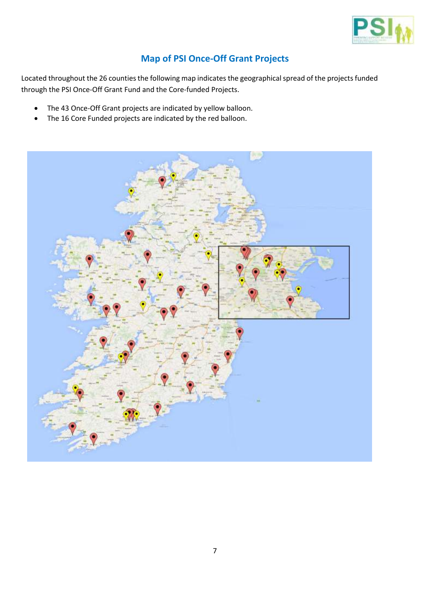

## **Map of PSI Once-Off Grant Projects**

Located throughout the 26 counties the following map indicates the geographical spread of the projects funded through the PSI Once-Off Grant Fund and the Core-funded Projects.

- The 43 Once-Off Grant projects are indicated by yellow balloon.
- The 16 Core Funded projects are indicated by the red balloon.

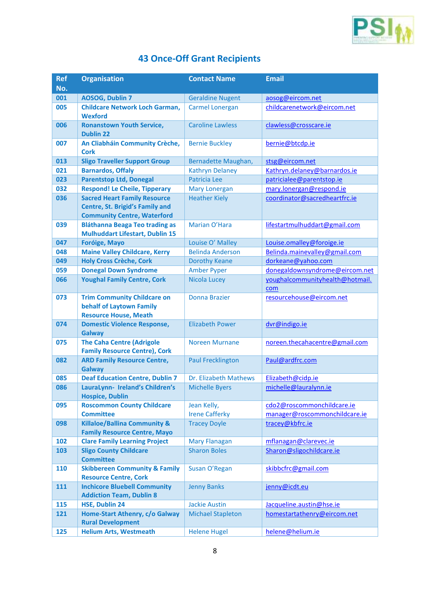

# **43 Once-Off Grant Recipients**

| <b>Ref</b> | <b>Organisation</b>                                       | <b>Contact Name</b>                              | <b>Email</b>                                            |
|------------|-----------------------------------------------------------|--------------------------------------------------|---------------------------------------------------------|
| No.        |                                                           |                                                  |                                                         |
| 001        | AOSOG, Dublin 7                                           | <b>Geraldine Nugent</b>                          | aosog@eircom.net                                        |
| 005        | <b>Childcare Network Loch Garman,</b>                     | <b>Carmel Lonergan</b>                           | childcarenetwork@eircom.net                             |
|            | <b>Wexford</b>                                            |                                                  |                                                         |
| 006        | <b>Ronanstown Youth Service,</b>                          | <b>Caroline Lawless</b>                          | clawless@crosscare.ie                                   |
|            | <b>Dublin 22</b>                                          |                                                  |                                                         |
| 007        | An Cliabháin Community Crèche,<br><b>Cork</b>             | <b>Bernie Buckley</b>                            | bernie@btcdp.ie                                         |
| 013        | <b>Sligo Traveller Support Group</b>                      | Bernadette Maughan,                              | stsg@eircom.net                                         |
| 021        | <b>Barnardos, Offaly</b>                                  | <b>Kathryn Delaney</b>                           | Kathryn.delaney@barnardos.ie                            |
| 023        | <b>Parentstop Ltd, Donegal</b>                            | Patricia Lee                                     | patricialee@parentstop.ie                               |
| 032        | <b>Respond! Le Cheile, Tipperary</b>                      | <b>Mary Lonergan</b>                             | mary.lonergan@respond.ie                                |
| 036        | <b>Sacred Heart Family Resource</b>                       | <b>Heather Kiely</b>                             | coordinator@sacredheartfrc.ie                           |
|            | <b>Centre, St. Brigid's Family and</b>                    |                                                  |                                                         |
|            | <b>Community Centre, Waterford</b>                        |                                                  |                                                         |
| 039        | <b>Bláthanna Beaga Teo trading as</b>                     | Marian O'Hara                                    | lifestartmulhuddart@gmail.com                           |
|            | <b>Mulhuddart Lifestart, Dublin 15</b>                    |                                                  |                                                         |
| 047        | <b>Foróige, Mayo</b>                                      | Louise O' Malley                                 | Louise.omalley@foroige.ie                               |
| 048        | <b>Maine Valley Childcare, Kerry</b>                      | <b>Belinda Anderson</b>                          | Belinda.mainevalley@gmail.com                           |
| 049        | <b>Holy Cross Crèche, Cork</b>                            | <b>Dorothy Keane</b>                             | dorkeane@yahoo.com                                      |
| 059        | <b>Donegal Down Syndrome</b>                              | <b>Amber Pyper</b>                               | donegaldownsyndrome@eircom.net                          |
| 066        | <b>Youghal Family Centre, Cork</b>                        | <b>Nicola Lucey</b>                              | youghalcommunityhealth@hotmail.                         |
| 073        | <b>Trim Community Childcare on</b>                        | <b>Donna Brazier</b>                             | com<br>resourcehouse@eircom.net                         |
|            | behalf of Laytown Family                                  |                                                  |                                                         |
|            | <b>Resource House, Meath</b>                              |                                                  |                                                         |
| 074        | <b>Domestic Violence Response,</b>                        | <b>Elizabeth Power</b>                           | dvr@indigo.ie                                           |
|            | <b>Galway</b>                                             |                                                  |                                                         |
| 075        | <b>The Caha Centre (Adrigole</b>                          | <b>Noreen Murnane</b>                            | noreen.thecahacentre@gmail.com                          |
|            | <b>Family Resource Centre), Cork</b>                      |                                                  |                                                         |
| 082        | <b>ARD Family Resource Centre,</b>                        | <b>Paul Frecklington</b>                         | Paul@ardfrc.com                                         |
|            | <b>Galway</b>                                             |                                                  |                                                         |
| 085        | <b>Deaf Education Centre, Dublin 7</b>                    | Dr. Elizabeth Mathews                            | Elizabeth@cidp.ie                                       |
| 086        | LauraLynn- Ireland's Children's<br><b>Hospice, Dublin</b> | <b>Michelle Byers</b>                            | michelle@lauralynn.ie                                   |
| 095        | <b>Roscommon County Childcare</b>                         | Jean Kelly,                                      | cdo2@roscommonchildcare.ie                              |
|            | <b>Committee</b>                                          | <b>Irene Cafferky</b>                            | manager@roscommonchildcare.ie                           |
| 098        | <b>Killaloe/Ballina Community &amp;</b>                   | <b>Tracey Doyle</b>                              | tracey@kbfrc.ie                                         |
|            | <b>Family Resource Centre, Mayo</b>                       |                                                  |                                                         |
| 102        | <b>Clare Family Learning Project</b>                      | <b>Mary Flanagan</b>                             | mflanagan@clarevec.ie                                   |
| 103        | <b>Sligo County Childcare</b>                             | <b>Sharon Boles</b>                              | Sharon@sligochildcare.ie                                |
|            | <b>Committee</b>                                          |                                                  |                                                         |
| 110        | <b>Skibbereen Community &amp; Family</b>                  | Susan O'Regan                                    | skibbcfrc@gmail.com                                     |
|            | <b>Resource Centre, Cork</b>                              |                                                  |                                                         |
| 111        | <b>Inchicore Bluebell Community</b>                       | <b>Jenny Banks</b>                               | jenny@icdt.eu                                           |
|            | <b>Addiction Team, Dublin 8</b>                           |                                                  |                                                         |
| 115<br>121 | <b>HSE, Dublin 24</b><br>Home-Start Athenry, c/o Galway   | <b>Jackie Austin</b><br><b>Michael Stapleton</b> | Jacqueline.austin@hse.ie<br>homestartathenry@eircom.net |
|            | <b>Rural Development</b>                                  |                                                  |                                                         |
| 125        | <b>Helium Arts, Westmeath</b>                             | <b>Helene Hugel</b>                              | helene@helium.ie                                        |